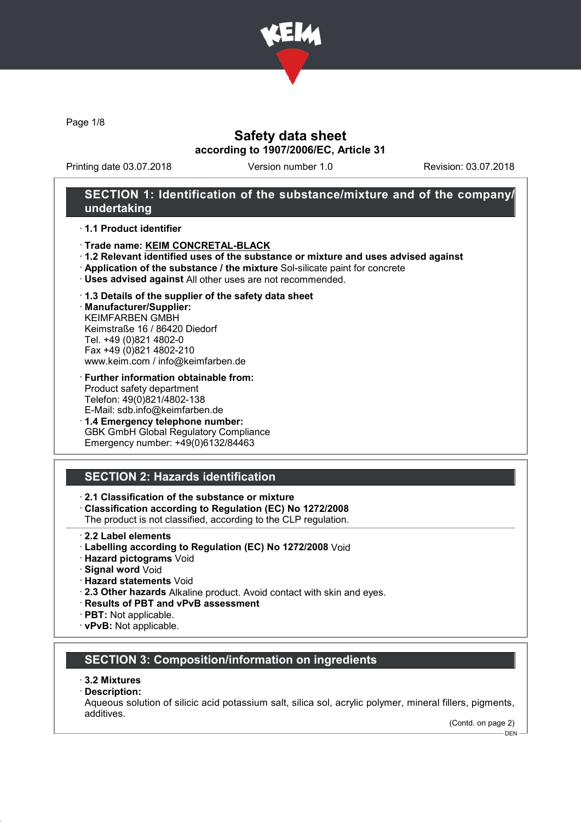

Page 1/8

# Safety data sheet according to 1907/2006/EC, Article 31

Printing date 03.07.2018 Version number 1.0 Revision: 03.07.2018

## SECTION 1: Identification of the substance/mixture and of the company/ undertaking

#### · 1.1 Product identifier

- · Trade name: KEIM CONCRETAL-BLACK
- · 1.2 Relevant identified uses of the substance or mixture and uses advised against
- · Application of the substance / the mixture Sol-silicate paint for concrete
- · Uses advised against All other uses are not recommended.

#### · 1.3 Details of the supplier of the safety data sheet

· Manufacturer/Supplier: KEIMFARBEN GMBH Keimstraße 16 / 86420 Diedorf Tel. +49 (0)821 4802-0 Fax +49 (0)821 4802-210 www.keim.com / info@keimfarben.de

- · Further information obtainable from: Product safety department Telefon: 49(0)821/4802-138 E-Mail: sdb.info@keimfarben.de
- · 1.4 Emergency telephone number: GBK GmbH Global Regulatory Compliance Emergency number: +49(0)6132/84463

# SECTION 2: Hazards identification

### · 2.1 Classification of the substance or mixture

· Classification according to Regulation (EC) No 1272/2008

The product is not classified, according to the CLP regulation.

- · 2.2 Label elements
- · Labelling according to Regulation (EC) No 1272/2008 Void
- · Hazard pictograms Void
- · Signal word Void
- · Hazard statements Void
- · 2.3 Other hazards Alkaline product. Avoid contact with skin and eyes.
- · Results of PBT and vPvB assessment
- · PBT: Not applicable.
- · vPvB: Not applicable.

## SECTION 3: Composition/information on ingredients

#### · 3.2 Mixtures

· Description:

Aqueous solution of silicic acid potassium salt, silica sol, acrylic polymer, mineral fillers, pigments, additives.

(Contd. on page 2) DEN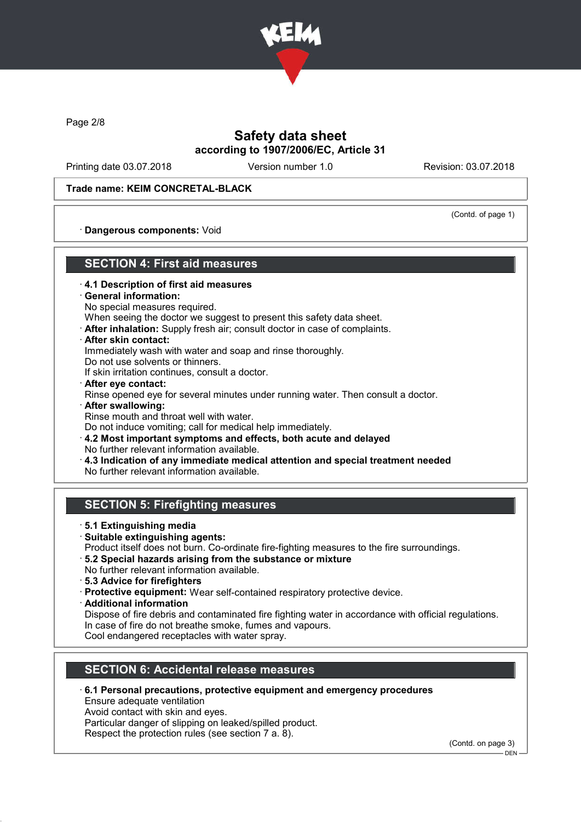

Page 2/8

# Safety data sheet according to 1907/2006/EC, Article 31

Printing date 03.07.2018 Version number 1.0 Revision: 03.07.2018

#### Trade name: KEIM CONCRETAL-BLACK

(Contd. of page 1)

· Dangerous components: Void

## SECTION 4: First aid measures

- · 4.1 Description of first aid measures
- · General information:
- No special measures required.

When seeing the doctor we suggest to present this safety data sheet.

- · After inhalation: Supply fresh air; consult doctor in case of complaints.
- · After skin contact:

Immediately wash with water and soap and rinse thoroughly.

Do not use solvents or thinners.

If skin irritation continues, consult a doctor.

- · After eye contact: Rinse opened eye for several minutes under running water. Then consult a doctor.
- After swallowing: Rinse mouth and throat well with water.

Do not induce vomiting; call for medical help immediately.

- · 4.2 Most important symptoms and effects, both acute and delayed
- No further relevant information available.
- · 4.3 Indication of any immediate medical attention and special treatment needed No further relevant information available.

## SECTION 5: Firefighting measures

- · 5.1 Extinguishing media
- · Suitable extinguishing agents:
- Product itself does not burn. Co-ordinate fire-fighting measures to the fire surroundings.
- · 5.2 Special hazards arising from the substance or mixture
- No further relevant information available.
- · 5.3 Advice for firefighters
- · Protective equipment: Wear self-contained respiratory protective device.
- · Additional information

Dispose of fire debris and contaminated fire fighting water in accordance with official regulations. In case of fire do not breathe smoke, fumes and vapours.

Cool endangered receptacles with water spray.

# SECTION 6: Accidental release measures

· 6.1 Personal precautions, protective equipment and emergency procedures

Ensure adequate ventilation

Avoid contact with skin and eyes.

Particular danger of slipping on leaked/spilled product.

Respect the protection rules (see section 7 a. 8).

(Contd. on page 3)

 $-$  DEN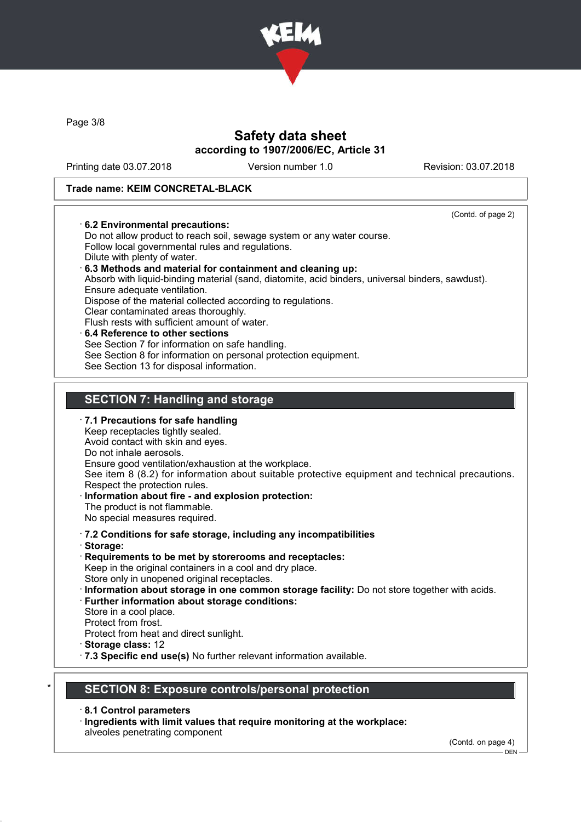

Page 3/8

# Safety data sheet according to 1907/2006/EC, Article 31

Printing date 03.07.2018 Version number 1.0 Revision: 03.07.2018

### Trade name: KEIM CONCRETAL-BLACK

| 6.2 Environmental precautions:                                                                   | (Contd. of page 2) |
|--------------------------------------------------------------------------------------------------|--------------------|
| Do not allow product to reach soil, sewage system or any water course.                           |                    |
| Follow local governmental rules and regulations.                                                 |                    |
| Dilute with plenty of water.                                                                     |                    |
| 6.3 Methods and material for containment and cleaning up:                                        |                    |
| Absorb with liquid-binding material (sand, diatomite, acid binders, universal binders, sawdust). |                    |
| Ensure adequate ventilation.                                                                     |                    |
| Dispose of the material collected according to regulations.                                      |                    |
| Clear contaminated areas thoroughly.                                                             |                    |
| Flush rests with sufficient amount of water.                                                     |                    |
| 6.4 Reference to other sections                                                                  |                    |
| See Section 7 for information on safe handling.                                                  |                    |
| See Section 8 for information on personal protection equipment.                                  |                    |
| See Section 13 for disposal information.                                                         |                    |
|                                                                                                  |                    |
|                                                                                                  |                    |
| <b>SECTION 7: Handling and storage</b>                                                           |                    |
| 7.1 Precautions for safe handling                                                                |                    |
| Keep receptacles tightly sealed.                                                                 |                    |
|                                                                                                  |                    |
|                                                                                                  |                    |
| Avoid contact with skin and eyes.                                                                |                    |
| Do not inhale aerosols.                                                                          |                    |
| Ensure good ventilation/exhaustion at the workplace.                                             |                    |
| See item 8 (8.2) for information about suitable protective equipment and technical precautions.  |                    |
| Respect the protection rules.                                                                    |                    |
| Information about fire - and explosion protection:<br>The product is not flammable.              |                    |
| No special measures required.                                                                    |                    |
|                                                                                                  |                    |
|                                                                                                  |                    |
| · 7.2 Conditions for safe storage, including any incompatibilities<br>· Storage:                 |                    |
| Requirements to be met by storerooms and receptacles:                                            |                    |
| Keep in the original containers in a cool and dry place.                                         |                    |
| Store only in unopened original receptacles.                                                     |                    |
| · Information about storage in one common storage facility: Do not store together with acids.    |                    |
| · Further information about storage conditions:                                                  |                    |
| Store in a cool place.                                                                           |                    |
| Protect from frost.                                                                              |                    |
| Protect from heat and direct sunlight.                                                           |                    |
| Storage class: 12<br>· 7.3 Specific end use(s) No further relevant information available.        |                    |

- · 8.1 Control parameters
- · Ingredients with limit values that require monitoring at the workplace: alveoles penetrating component

(Contd. on page 4)

 $-$  DEN -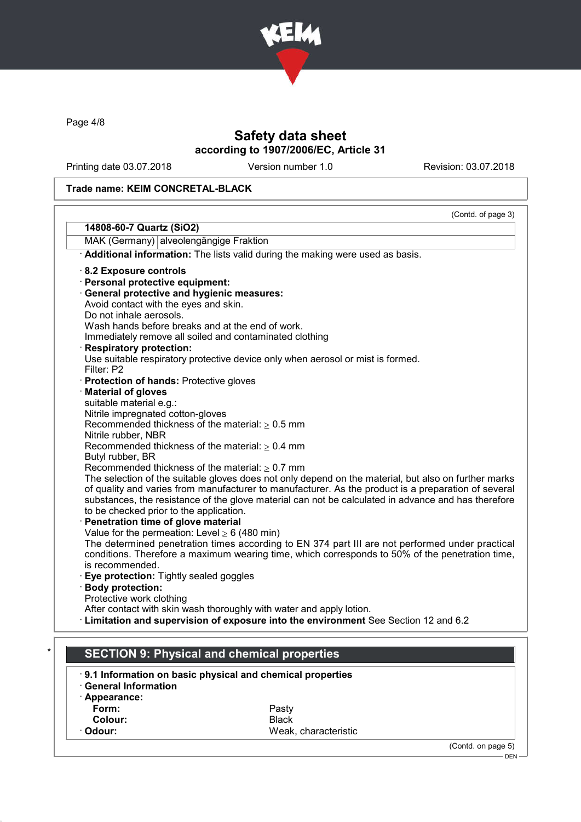

Page 4/8

# Safety data sheet according to 1907/2006/EC, Article 31

Printing date 03.07.2018 Version number 1.0 Revision: 03.07.2018

## Trade name: KEIM CONCRETAL-BLACK

|                                                    | (Contd. of page 3)                                                                                                                                           |
|----------------------------------------------------|--------------------------------------------------------------------------------------------------------------------------------------------------------------|
| 14808-60-7 Quartz (SiO2)                           |                                                                                                                                                              |
| MAK (Germany) alveolengängige Fraktion             |                                                                                                                                                              |
|                                                    | Additional information: The lists valid during the making were used as basis.                                                                                |
| 8.2 Exposure controls                              |                                                                                                                                                              |
| · Personal protective equipment:                   |                                                                                                                                                              |
| · General protective and hygienic measures:        |                                                                                                                                                              |
| Avoid contact with the eyes and skin.              |                                                                                                                                                              |
| Do not inhale aerosols.                            |                                                                                                                                                              |
|                                                    | Wash hands before breaks and at the end of work.                                                                                                             |
|                                                    | Immediately remove all soiled and contaminated clothing                                                                                                      |
| <b>Respiratory protection:</b>                     |                                                                                                                                                              |
|                                                    | Use suitable respiratory protective device only when aerosol or mist is formed.                                                                              |
| Filter: P2                                         |                                                                                                                                                              |
| · Protection of hands: Protective gloves           |                                                                                                                                                              |
| <b>Material of gloves</b>                          |                                                                                                                                                              |
| suitable material e.g.:                            |                                                                                                                                                              |
| Nitrile impregnated cotton-gloves                  |                                                                                                                                                              |
|                                                    | Recommended thickness of the material: $\geq 0.5$ mm                                                                                                         |
| Nitrile rubber, NBR                                |                                                                                                                                                              |
|                                                    | Recommended thickness of the material: $\geq 0.4$ mm                                                                                                         |
| Butyl rubber, BR                                   |                                                                                                                                                              |
|                                                    | Recommended thickness of the material: $\geq 0.7$ mm<br>The selection of the suitable gloves does not only depend on the material, but also on further marks |
|                                                    | of quality and varies from manufacturer to manufacturer. As the product is a preparation of several                                                          |
|                                                    | substances, the resistance of the glove material can not be calculated in advance and has therefore                                                          |
| to be checked prior to the application.            |                                                                                                                                                              |
| Penetration time of glove material                 |                                                                                                                                                              |
| Value for the permeation: Level $\geq 6$ (480 min) |                                                                                                                                                              |
|                                                    | The determined penetration times according to EN 374 part III are not performed under practical                                                              |
|                                                    | conditions. Therefore a maximum wearing time, which corresponds to 50% of the penetration time,                                                              |
| is recommended.                                    |                                                                                                                                                              |
| Eye protection: Tightly sealed goggles             |                                                                                                                                                              |
| <b>Body protection:</b>                            |                                                                                                                                                              |
| Protective work clothing                           |                                                                                                                                                              |
|                                                    | After contact with skin wash thoroughly with water and apply lotion.                                                                                         |
|                                                    | Limitation and supervision of exposure into the environment See Section 12 and 6.2                                                                           |
|                                                    |                                                                                                                                                              |
|                                                    |                                                                                                                                                              |
|                                                    | <b>SECTION 9: Physical and chemical properties</b>                                                                                                           |
|                                                    | 9.1 Information on basic physical and chemical properties                                                                                                    |
| <b>General Information</b>                         |                                                                                                                                                              |
| · Appearance:                                      |                                                                                                                                                              |
| Form:                                              | Pasty                                                                                                                                                        |
| Colour:                                            | <b>Rlack</b>                                                                                                                                                 |

Weak, characteristic

Colour: Black

(Contd. on page 5)

DEN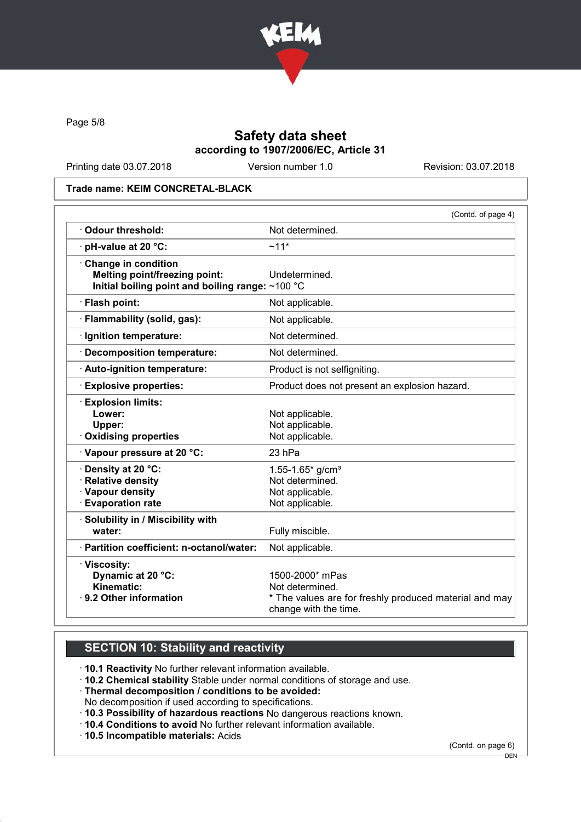

Page 5/8

# Safety data sheet according to 1907/2006/EC, Article 31

Printing date 03.07.2018 Version number 1.0 Revision: 03.07.2018

### Trade name: KEIM CONCRETAL-BLACK

|                                                                                                                 | (Contd. of page 4)                                                                                                    |
|-----------------------------------------------------------------------------------------------------------------|-----------------------------------------------------------------------------------------------------------------------|
| Odour threshold:                                                                                                | Not determined.                                                                                                       |
| · pH-value at 20 °C:                                                                                            | $~11*$                                                                                                                |
| Change in condition<br><b>Melting point/freezing point:</b><br>Initial boiling point and boiling range: ~100 °C | Undetermined.                                                                                                         |
| · Flash point:                                                                                                  | Not applicable.                                                                                                       |
| · Flammability (solid, gas):                                                                                    | Not applicable.                                                                                                       |
| · Ignition temperature:                                                                                         | Not determined.                                                                                                       |
| · Decomposition temperature:                                                                                    | Not determined.                                                                                                       |
| · Auto-ignition temperature:                                                                                    | Product is not selfigniting.                                                                                          |
| · Explosive properties:                                                                                         | Product does not present an explosion hazard.                                                                         |
| <b>Explosion limits:</b><br>Lower:<br>Upper:<br><b>Oxidising properties</b>                                     | Not applicable.<br>Not applicable.<br>Not applicable.                                                                 |
| Vapour pressure at 20 °C:                                                                                       | $23$ hPa                                                                                                              |
| · Density at 20 °C:<br>· Relative density<br>· Vapour density<br><b>Evaporation rate</b>                        | 1.55-1.65 $*$ g/cm <sup>3</sup><br>Not determined.<br>Not applicable.<br>Not applicable.                              |
| · Solubility in / Miscibility with<br>water:                                                                    | Fully miscible.                                                                                                       |
| · Partition coefficient: n-octanol/water:                                                                       | Not applicable.                                                                                                       |
| · Viscosity:<br>Dynamic at 20 °C:<br>Kinematic:<br>9.2 Other information                                        | 1500-2000* mPas<br>Not determined.<br>* The values are for freshly produced material and may<br>change with the time. |

# SECTION 10: Stability and reactivity

· 10.1 Reactivity No further relevant information available.

· 10.2 Chemical stability Stable under normal conditions of storage and use.

· Thermal decomposition / conditions to be avoided:

No decomposition if used according to specifications.

- · 10.3 Possibility of hazardous reactions No dangerous reactions known.
- · 10.4 Conditions to avoid No further relevant information available.

· 10.5 Incompatible materials: Acids

(Contd. on page 6)

 $-$  DEN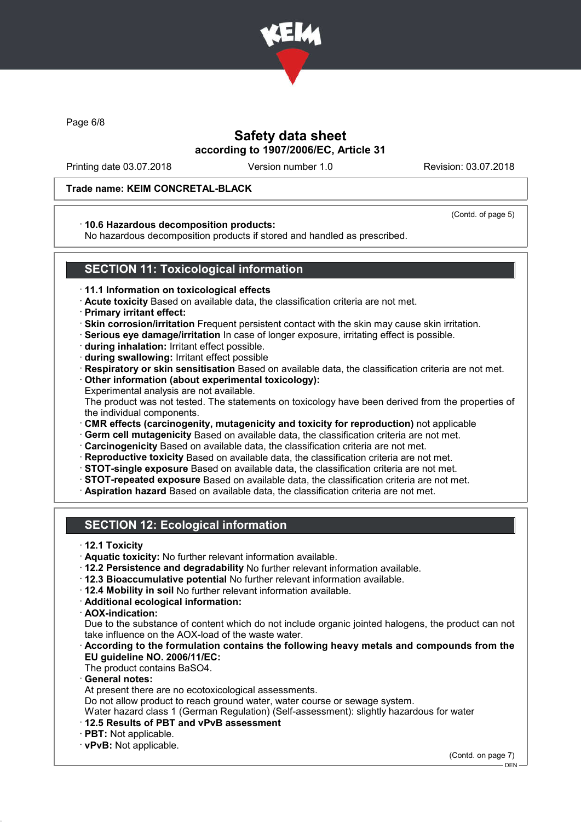

Page 6/8

# Safety data sheet according to 1907/2006/EC, Article 31

Printing date 03.07.2018 Version number 1.0 Revision: 03.07.2018

### Trade name: KEIM CONCRETAL-BLACK

#### (Contd. of page 5)

### · 10.6 Hazardous decomposition products:

No hazardous decomposition products if stored and handled as prescribed.

## SECTION 11: Toxicological information

- · 11.1 Information on toxicological effects
- · Acute toxicity Based on available data, the classification criteria are not met.
- · Primary irritant effect:
- · Skin corrosion/irritation Frequent persistent contact with the skin may cause skin irritation.
- · Serious eye damage/irritation In case of longer exposure, irritating effect is possible.
- · during inhalation: Irritant effect possible.
- · during swallowing: Irritant effect possible
- · Respiratory or skin sensitisation Based on available data, the classification criteria are not met.
- · Other information (about experimental toxicology): Experimental analysis are not available.
- The product was not tested. The statements on toxicology have been derived from the properties of the individual components.
- · CMR effects (carcinogenity, mutagenicity and toxicity for reproduction) not applicable
- · Germ cell mutagenicity Based on available data, the classification criteria are not met.
- · Carcinogenicity Based on available data, the classification criteria are not met.
- · Reproductive toxicity Based on available data, the classification criteria are not met.
- · STOT-single exposure Based on available data, the classification criteria are not met.
- · STOT-repeated exposure Based on available data, the classification criteria are not met.
- · Aspiration hazard Based on available data, the classification criteria are not met.

# SECTION 12: Ecological information

- · 12.1 Toxicity
- · Aquatic toxicity: No further relevant information available.
- · 12.2 Persistence and degradability No further relevant information available.
- · 12.3 Bioaccumulative potential No further relevant information available.
- · 12.4 Mobility in soil No further relevant information available.
- · Additional ecological information:
- · AOX-indication:

Due to the substance of content which do not include organic jointed halogens, the product can not take influence on the AOX-load of the waste water.

### · According to the formulation contains the following heavy metals and compounds from the EU guideline NO. 2006/11/EC:

The product contains BaSO4.

General notes:

At present there are no ecotoxicological assessments.

Do not allow product to reach ground water, water course or sewage system.

Water hazard class 1 (German Regulation) (Self-assessment): slightly hazardous for water

- · 12.5 Results of PBT and vPvB assessment
- · PBT: Not applicable.
- · vPvB: Not applicable.

(Contd. on page 7)

<sup>-</sup> DEN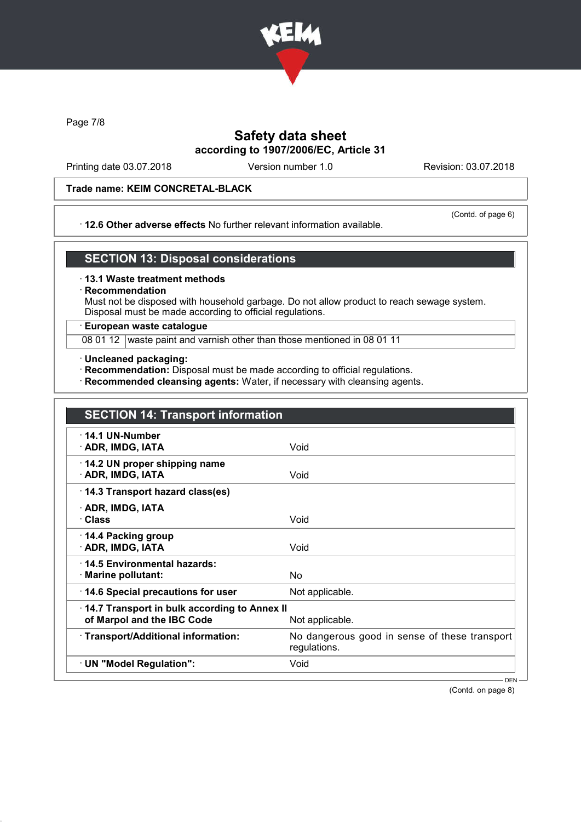

Page 7/8

# Safety data sheet according to 1907/2006/EC, Article 31

Printing date 03.07.2018 Version number 1.0 Revision: 03.07.2018

## Trade name: KEIM CONCRETAL-BLACK

### · 12.6 Other adverse effects No further relevant information available.

(Contd. of page 6)

## SECTION 13: Disposal considerations

#### · 13.1 Waste treatment methods

### **Recommendation**

Must not be disposed with household garbage. Do not allow product to reach sewage system. Disposal must be made according to official regulations.

### · European waste catalogue

08 01 12 waste paint and varnish other than those mentioned in 08 01 11

- · Uncleaned packaging:
- · Recommendation: Disposal must be made according to official regulations.
- · Recommended cleansing agents: Water, if necessary with cleansing agents.

| <b>SECTION 14: Transport information</b>                                   |                                                               |
|----------------------------------------------------------------------------|---------------------------------------------------------------|
| $\cdot$ 14.1 UN-Number<br>· ADR, IMDG, IATA                                | Void                                                          |
| 14.2 UN proper shipping name<br>· ADR, IMDG, IATA                          | Void                                                          |
| 14.3 Transport hazard class(es)                                            |                                                               |
| · ADR, IMDG, IATA<br>· Class                                               | Void                                                          |
| 14.4 Packing group<br>· ADR, IMDG, IATA                                    | Void                                                          |
| 14.5 Environmental hazards:<br>· Marine pollutant:                         | No.                                                           |
| 14.6 Special precautions for user                                          | Not applicable.                                               |
| 14.7 Transport in bulk according to Annex II<br>of Marpol and the IBC Code | Not applicable.                                               |
| · Transport/Additional information:                                        | No dangerous good in sense of these transport<br>regulations. |
| · UN "Model Regulation":                                                   | Void                                                          |
|                                                                            | $DEN -$                                                       |

(Contd. on page 8)